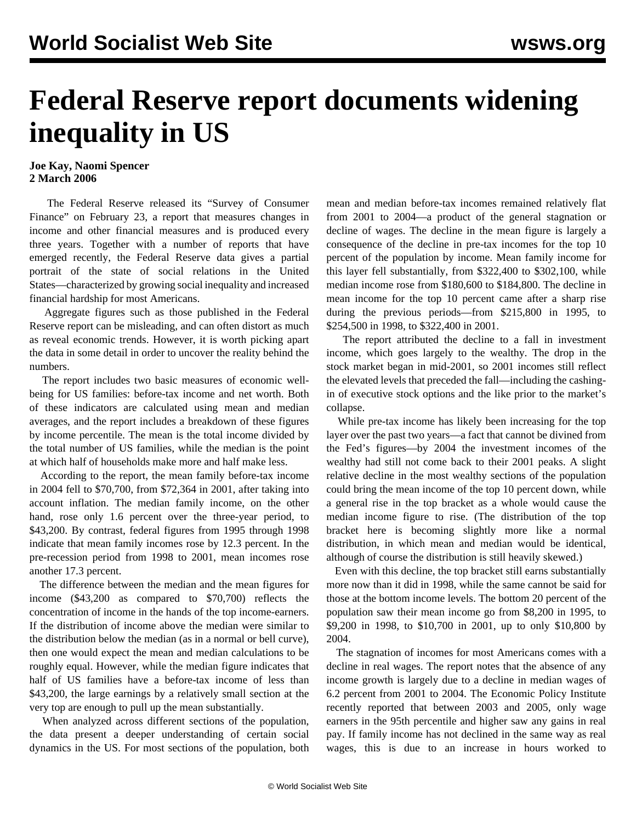## **Federal Reserve report documents widening inequality in US**

## **Joe Kay, Naomi Spencer 2 March 2006**

 The Federal Reserve released its "Survey of Consumer Finance" on February 23, a report that measures changes in income and other financial measures and is produced every three years. Together with a number of reports that have emerged recently, the Federal Reserve data gives a partial portrait of the state of social relations in the United States—characterized by growing social inequality and increased financial hardship for most Americans.

 Aggregate figures such as those published in the Federal Reserve report can be misleading, and can often distort as much as reveal economic trends. However, it is worth picking apart the data in some detail in order to uncover the reality behind the numbers.

 The report includes two basic measures of economic wellbeing for US families: before-tax income and net worth. Both of these indicators are calculated using mean and median averages, and the report includes a breakdown of these figures by income percentile. The mean is the total income divided by the total number of US families, while the median is the point at which half of households make more and half make less.

 According to the report, the mean family before-tax income in 2004 fell to \$70,700, from \$72,364 in 2001, after taking into account inflation. The median family income, on the other hand, rose only 1.6 percent over the three-year period, to \$43,200. By contrast, federal figures from 1995 through 1998 indicate that mean family incomes rose by 12.3 percent. In the pre-recession period from 1998 to 2001, mean incomes rose another 17.3 percent.

 The difference between the median and the mean figures for income (\$43,200 as compared to \$70,700) reflects the concentration of income in the hands of the top income-earners. If the distribution of income above the median were similar to the distribution below the median (as in a normal or bell curve), then one would expect the mean and median calculations to be roughly equal. However, while the median figure indicates that half of US families have a before-tax income of less than \$43,200, the large earnings by a relatively small section at the very top are enough to pull up the mean substantially.

 When analyzed across different sections of the population, the data present a deeper understanding of certain social dynamics in the US. For most sections of the population, both

mean and median before-tax incomes remained relatively flat from 2001 to 2004—a product of the general stagnation or decline of wages. The decline in the mean figure is largely a consequence of the decline in pre-tax incomes for the top 10 percent of the population by income. Mean family income for this layer fell substantially, from \$322,400 to \$302,100, while median income rose from \$180,600 to \$184,800. The decline in mean income for the top 10 percent came after a sharp rise during the previous periods—from \$215,800 in 1995, to \$254,500 in 1998, to \$322,400 in 2001.

 The report attributed the decline to a fall in investment income, which goes largely to the wealthy. The drop in the stock market began in mid-2001, so 2001 incomes still reflect the elevated levels that preceded the fall—including the cashingin of executive stock options and the like prior to the market's collapse.

 While pre-tax income has likely been increasing for the top layer over the past two years—a fact that cannot be divined from the Fed's figures—by 2004 the investment incomes of the wealthy had still not come back to their 2001 peaks. A slight relative decline in the most wealthy sections of the population could bring the mean income of the top 10 percent down, while a general rise in the top bracket as a whole would cause the median income figure to rise. (The distribution of the top bracket here is becoming slightly more like a normal distribution, in which mean and median would be identical, although of course the distribution is still heavily skewed.)

 Even with this decline, the top bracket still earns substantially more now than it did in 1998, while the same cannot be said for those at the bottom income levels. The bottom 20 percent of the population saw their mean income go from \$8,200 in 1995, to \$9,200 in 1998, to \$10,700 in 2001, up to only \$10,800 by 2004.

 The stagnation of incomes for most Americans comes with a decline in real wages. The report notes that the absence of any income growth is largely due to a decline in median wages of 6.2 percent from 2001 to 2004. The Economic Policy Institute recently reported that between 2003 and 2005, only wage earners in the 95th percentile and higher saw any gains in real pay. If family income has not declined in the same way as real wages, this is due to an increase in hours worked to